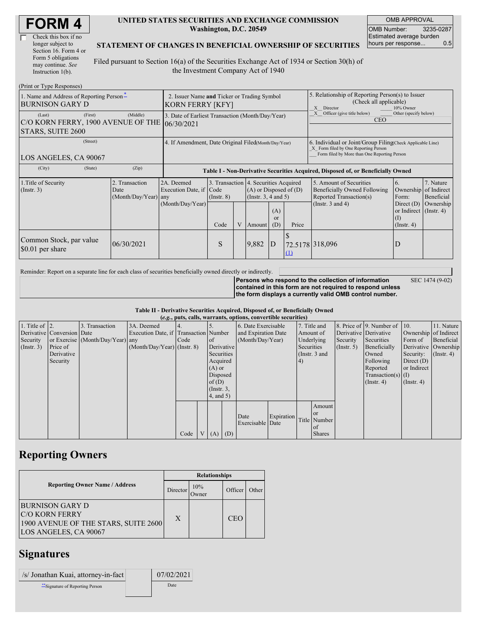| <b>FORM4</b> |
|--------------|
|--------------|

| Check this box if no  |
|-----------------------|
| longer subject to     |
| Section 16. Form 4 or |
| Form 5 obligations    |
| may continue. See     |
| Instruction $1(b)$ .  |

#### **UNITED STATES SECURITIES AND EXCHANGE COMMISSION Washington, D.C. 20549**

OMB APPROVAL OMB Number: 3235-0287 Estimated average burden hours per response... 0.5

#### **STATEMENT OF CHANGES IN BENEFICIAL OWNERSHIP OF SECURITIES**

Filed pursuant to Section 16(a) of the Securities Exchange Act of 1934 or Section 30(h) of the Investment Company Act of 1940

| (Print or Type Responses)                                                    |                                                                 |                                                                                  |                         |  |                                                                                                                                                 |    |                                                                                                                                                    |                                                                                                             |                                                                                        |                                                               |  |
|------------------------------------------------------------------------------|-----------------------------------------------------------------|----------------------------------------------------------------------------------|-------------------------|--|-------------------------------------------------------------------------------------------------------------------------------------------------|----|----------------------------------------------------------------------------------------------------------------------------------------------------|-------------------------------------------------------------------------------------------------------------|----------------------------------------------------------------------------------------|---------------------------------------------------------------|--|
| 1. Name and Address of Reporting Person-<br><b>BURNISON GARY D</b>           | 2. Issuer Name and Ticker or Trading Symbol<br>KORN FERRY [KFY] |                                                                                  |                         |  |                                                                                                                                                 |    | 5. Relationship of Reporting Person(s) to Issuer<br>(Check all applicable)<br>10% Owner<br>$\mathbf{x}$<br>Director                                |                                                                                                             |                                                                                        |                                                               |  |
| (First)<br>(Last)<br>C/O KORN FERRY, 1900 AVENUE OF THE<br>STARS, SUITE 2600 | (Middle)                                                        | 3. Date of Earliest Transaction (Month/Day/Year)<br>106/30/2021                  |                         |  |                                                                                                                                                 |    |                                                                                                                                                    | Officer (give title below)<br>Other (specify below)<br><b>CEO</b>                                           |                                                                                        |                                                               |  |
| (Street)<br>LOS ANGELES, CA 90067                                            | 4. If Amendment, Date Original Filed(Month/Day/Year)            |                                                                                  |                         |  |                                                                                                                                                 |    | 6. Individual or Joint/Group Filing Check Applicable Line)<br>X Form filed by One Reporting Person<br>Form filed by More than One Reporting Person |                                                                                                             |                                                                                        |                                                               |  |
| (City)<br>(State)                                                            | (Zip)                                                           | Table I - Non-Derivative Securities Acquired, Disposed of, or Beneficially Owned |                         |  |                                                                                                                                                 |    |                                                                                                                                                    |                                                                                                             |                                                                                        |                                                               |  |
| 1. Title of Security<br>(Insert. 3)                                          | 2. Transaction<br>Date<br>(Month/Day/Year) any                  | 2A. Deemed<br>Execution Date, if Code<br>(Month/Day/Year)                        | $($ Instr. $8)$<br>Code |  | 3. Transaction 4. Securities Acquired<br>$(A)$ or Disposed of $(D)$<br>(Insert. 3, 4 and 5)<br>(A)<br><sub>or</sub><br>V Amount<br>Price<br>(D) |    |                                                                                                                                                    | 5. Amount of Securities<br>Beneficially Owned Following<br>Reported Transaction(s)<br>(Instr. $3$ and $4$ ) | 6.<br>Form:<br>Direct $(D)$<br>or Indirect $($ Instr. 4 $)$<br>(1)<br>$($ Instr. 4 $)$ | 7. Nature<br>Ownership of Indirect<br>Beneficial<br>Ownership |  |
| Common Stock, par value<br>\$0.01 per share                                  | 06/30/2021                                                      |                                                                                  | S                       |  | 9,882                                                                                                                                           | ID | (1)                                                                                                                                                | 72.5178 318,096                                                                                             | D                                                                                      |                                                               |  |

Reminder: Report on a separate line for each class of securities beneficially owned directly or indirectly.

**Persons who respond to the collection of information contained in this form are not required to respond unless the form displays a currently valid OMB control number.** SEC 1474 (9-02)

**Table II - Derivative Securities Acquired, Disposed of, or Beneficially Owned (***e.g.***, puts, calls, warrants, options, convertible securities)**

| $(c, \zeta, \mu, \zeta)$ cans, warrants, options, convertible securities) |                            |                                  |                                       |      |  |                     |                     |                  |              |            |                       |                              |                       |                  |                      |               |
|---------------------------------------------------------------------------|----------------------------|----------------------------------|---------------------------------------|------|--|---------------------|---------------------|------------------|--------------|------------|-----------------------|------------------------------|-----------------------|------------------|----------------------|---------------|
| 1. Title of $\vert$ 2.                                                    |                            | 3. Transaction                   | 3A. Deemed                            |      |  | 6. Date Exercisable |                     |                  | 7. Title and |            |                       | 8. Price of 9. Number of 10. |                       | 11. Nature       |                      |               |
|                                                                           | Derivative Conversion Date |                                  | Execution Date, if Transaction Number |      |  |                     | and Expiration Date |                  | Amount of    |            | Derivative Derivative |                              | Ownership of Indirect |                  |                      |               |
| Security                                                                  |                            | or Exercise (Month/Day/Year) any |                                       | Code |  | of                  |                     | (Month/Day/Year) |              | Underlying |                       | Security                     | Securities            | Form of          | Beneficial           |               |
| (Insert. 3)                                                               | Price of                   |                                  | $(Month/Day/Year)$ (Instr. 8)         |      |  |                     | Derivative          |                  |              | Securities |                       | $($ Instr. 5)                | Beneficially          |                  | Derivative Ownership |               |
|                                                                           | Derivative                 |                                  |                                       |      |  | Securities          |                     |                  |              |            |                       | (Instr. 3 and                |                       | Owned            | Security:            | $($ Instr. 4) |
|                                                                           | Security                   |                                  |                                       |      |  | Acquired            |                     |                  |              | 4)         |                       |                              | Following             | Direct $(D)$     |                      |               |
|                                                                           |                            |                                  |                                       |      |  |                     | $(A)$ or            |                  |              |            |                       | Reported                     | or Indirect           |                  |                      |               |
|                                                                           |                            |                                  |                                       |      |  |                     | Disposed            |                  |              |            |                       | $Transaction(s)$ (I)         |                       |                  |                      |               |
|                                                                           |                            |                                  |                                       |      |  | of $(D)$            |                     |                  |              |            |                       |                              | $($ Instr. 4)         | $($ Instr. 4 $)$ |                      |               |
|                                                                           |                            |                                  |                                       |      |  | $($ Instr. 3,       |                     |                  |              |            |                       |                              |                       |                  |                      |               |
|                                                                           |                            |                                  |                                       |      |  | $4$ , and $5$ )     |                     |                  |              |            |                       |                              |                       |                  |                      |               |
|                                                                           |                            |                                  |                                       |      |  |                     |                     |                  |              |            | Amount                |                              |                       |                  |                      |               |
|                                                                           |                            |                                  |                                       |      |  |                     |                     | Date             | Expiration   |            | <sub>or</sub>         |                              |                       |                  |                      |               |
|                                                                           |                            |                                  |                                       |      |  |                     |                     | Exercisable Date |              |            | Title Number          |                              |                       |                  |                      |               |
|                                                                           |                            |                                  |                                       |      |  |                     |                     |                  |              |            | $\alpha$ f            |                              |                       |                  |                      |               |
|                                                                           |                            |                                  |                                       | Code |  | V(A)                | (D)                 |                  |              |            | <b>Shares</b>         |                              |                       |                  |                      |               |

## **Reporting Owners**

|                                                                                                           | <b>Relationships</b> |              |            |       |  |  |  |
|-----------------------------------------------------------------------------------------------------------|----------------------|--------------|------------|-------|--|--|--|
| <b>Reporting Owner Name / Address</b>                                                                     | Director             | 10%<br>Owner | Officer    | Other |  |  |  |
| BURNISON GARY D<br><b>C/O KORN FERRY</b><br>1900 AVENUE OF THE STARS, SUITE 2600<br>LOS ANGELES, CA 90067 | X                    |              | <b>CEO</b> |       |  |  |  |

## **Signatures**

| /s/ Jonathan Kuai, attorney-in-fact | 07/02/2021 |
|-------------------------------------|------------|
| ** Signature of Reporting Person    | Date       |